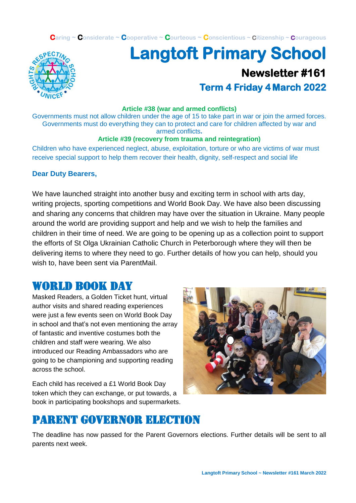**Caring ~ Considerate ~ Cooperative ~ Courteous ~ Conscientious ~ Citizenship ~ Courageous**



# **Langtoft Primary School Newsletter #161 Term 4 Friday 4 March 2022**

#### **Article #38 (war and armed conflicts)**

Governments must not allow children under the age of 15 to take part in war or join the armed forces. Governments must do everything they can to protect and care for children affected by war and armed conflicts**.**

### **Article #39 (recovery from trauma and reintegration)**

Children who have experienced neglect, abuse, exploitation, torture or who are victims of war must receive special support to help them recover their health, dignity, self-respect and social life

### **Dear Duty Bearers,**

We have launched straight into another busy and exciting term in school with arts day, writing projects, sporting competitions and World Book Day. We have also been discussing and sharing any concerns that children may have over the situation in Ukraine. Many people around the world are providing support and help and we wish to help the families and children in their time of need. We are going to be opening up as a collection point to support the efforts of St Olga Ukrainian Catholic Church in Peterborough where they will then be delivering items to where they need to go. Further details of how you can help, should you wish to, have been sent via ParentMail.

### world book day

Masked Readers, a Golden Ticket hunt, virtual author visits and shared reading experiences were just a few events seen on World Book Day in school and that's not even mentioning the array of fantastic and inventive costumes both the children and staff were wearing. We also introduced our Reading Ambassadors who are going to be championing and supporting reading across the school.

Each child has received a £1 World Book Day token which they can exchange, or put towards, a book in participating bookshops and supermarkets.



# Parent governor election

The deadline has now passed for the Parent Governors elections. Further details will be sent to all parents next week.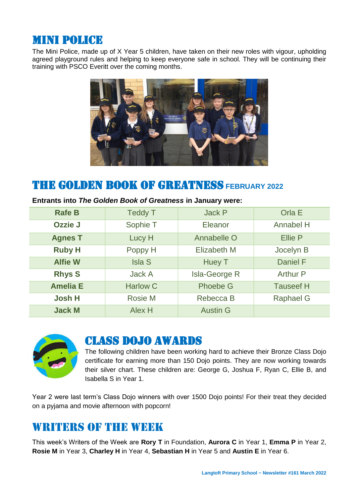## Mini police

The Mini Police, made up of X Year 5 children, have taken on their new roles with vigour, upholding agreed playground rules and helping to keep everyone safe in school. They will be continuing their training with PSCO Everitt over the coming months.



## THE GOLDEN BOOK OF GREATNESS **FEBRUARY 2022**

| <b>Rafe B</b>   | <b>Teddy T</b>  | <b>Jack P</b>        | Orla E           |
|-----------------|-----------------|----------------------|------------------|
| Ozzie J         | Sophie T        | Eleanor              | <b>Annabel H</b> |
| <b>Agnes T</b>  | Lucy H          | Annabelle O          | <b>Ellie P</b>   |
| <b>Ruby H</b>   | Poppy H         | <b>Elizabeth M</b>   | Jocelyn B        |
| <b>Alfie W</b>  | <b>Isla S</b>   | Huey T               | <b>Daniel F</b>  |
| <b>Rhys S</b>   | <b>Jack A</b>   | <b>Isla-George R</b> | Arthur P         |
| <b>Amelia E</b> | <b>Harlow C</b> | <b>Phoebe G</b>      | <b>Tauseef H</b> |
| <b>Josh H</b>   | <b>Rosie M</b>  | Rebecca B            | <b>Raphael G</b> |
| <b>Jack M</b>   | Alex H          | <b>Austin G</b>      |                  |

#### **Entrants into** *The Golden Book of Greatness* **in January were:**



### Class dojo awards

The following children have been working hard to achieve their Bronze Class Dojo certificate for earning more than 150 Dojo points. They are now working towards their silver chart. These children are: George G, Joshua F, Ryan C, Ellie B, and Isabella S in Year 1.

Year 2 were last term's Class Dojo winners with over 1500 Dojo points! For their treat they decided on a pyjama and movie afternoon with popcorn!

# WRITERS OF THE WEEK

This week's Writers of the Week are **Rory T** in Foundation, **Aurora C** in Year 1, **Emma P** in Year 2, **Rosie M** in Year 3, **Charley H** in Year 4, **Sebastian H** in Year 5 and **Austin E** in Year 6.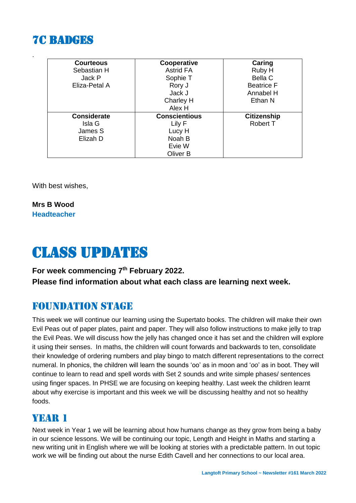# **7C RADGES**

.

| <b>Courteous</b>   | Cooperative          | Caring             |
|--------------------|----------------------|--------------------|
| Sebastian H        | <b>Astrid FA</b>     | Ruby H             |
| Jack P             | Sophie T             | Bella C            |
| Eliza-Petal A      | Rory J               | <b>Beatrice F</b>  |
|                    | Jack J               | Annabel H          |
|                    | Charley H            | Ethan N            |
|                    | Alex H               |                    |
| <b>Considerate</b> | <b>Conscientious</b> | <b>Citizenship</b> |
| Isla G             | Lily F               | <b>Robert T</b>    |
| James S            | Lucy H               |                    |
|                    |                      |                    |
| Elizah D           | Noah B               |                    |
|                    | Evie W               |                    |

With best wishes,

**Mrs B Wood Headteacher**

# Class updates

### **For week commencing 7 th February 2022.**

**Please find information about what each class are learning next week.** 

### Foundation stage

This week we will continue our learning using the Supertato books. The children will make their own Evil Peas out of paper plates, paint and paper. They will also follow instructions to make jelly to trap the Evil Peas. We will discuss how the jelly has changed once it has set and the children will explore it using their senses. In maths, the children will count forwards and backwards to ten, consolidate their knowledge of ordering numbers and play bingo to match different representations to the correct numeral. In phonics, the children will learn the sounds 'oo' as in moon and '*oo*' as in boot. They will continue to learn to read and spell words with Set 2 sounds and write simple phases/ sentences using finger spaces. In PHSE we are focusing on keeping healthy. Last week the children learnt about why exercise is important and this week we will be discussing healthy and not so healthy foods.

### YEAR 1

Next week in Year 1 we will be learning about how humans change as they grow from being a baby in our science lessons. We will be continuing our topic, Length and Height in Maths and starting a new writing unit in English where we will be looking at stories with a predictable pattern. In out topic work we will be finding out about the nurse Edith Cavell and her connections to our local area.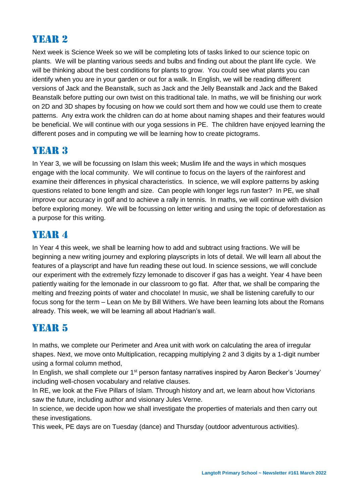## YEAR 2

Next week is Science Week so we will be completing lots of tasks linked to our science topic on plants. We will be planting various seeds and bulbs and finding out about the plant life cycle. We will be thinking about the best conditions for plants to grow. You could see what plants you can identify when you are in your garden or out for a walk. In English, we will be reading different versions of Jack and the Beanstalk, such as Jack and the Jelly Beanstalk and Jack and the Baked Beanstalk before putting our own twist on this traditional tale. In maths, we will be finishing our work on 2D and 3D shapes by focusing on how we could sort them and how we could use them to create patterns. Any extra work the children can do at home about naming shapes and their features would be beneficial. We will continue with our yoga sessions in PE. The children have enjoyed learning the different poses and in computing we will be learning how to create pictograms.

### YEAR 3

In Year 3, we will be focussing on Islam this week; Muslim life and the ways in which mosques engage with the local community. We will continue to focus on the layers of the rainforest and examine their differences in physical characteristics. In science, we will explore patterns by asking questions related to bone length and size. Can people with longer legs run faster? In PE, we shall improve our accuracy in golf and to achieve a rally in tennis. In maths, we will continue with division before exploring money. We will be focussing on letter writing and using the topic of deforestation as a purpose for this writing.

## YEAR 4

In Year 4 this week, we shall be learning how to add and subtract using fractions. We will be beginning a new writing journey and exploring playscripts in lots of detail. We will learn all about the features of a playscript and have fun reading these out loud. In science sessions, we will conclude our experiment with the extremely fizzy lemonade to discover if gas has a weight. Year 4 have been patiently waiting for the lemonade in our classroom to go flat. After that, we shall be comparing the melting and freezing points of water and chocolate! In music, we shall be listening carefully to our focus song for the term – Lean on Me by Bill Withers. We have been learning lots about the Romans already. This week, we will be learning all about Hadrian's wall.

### YEAR 5

In maths, we complete our Perimeter and Area unit with work on calculating the area of irregular shapes. Next, we move onto Multiplication, recapping multiplying 2 and 3 digits by a 1-digit number using a formal column method,

In English, we shall complete our 1<sup>st</sup> person fantasy narratives inspired by Aaron Becker's 'Journey' including well-chosen vocabulary and relative clauses.

In RE, we look at the Five Pillars of Islam. Through history and art, we learn about how Victorians saw the future, including author and visionary Jules Verne.

In science, we decide upon how we shall investigate the properties of materials and then carry out these investigations.

This week, PE days are on Tuesday (dance) and Thursday (outdoor adventurous activities).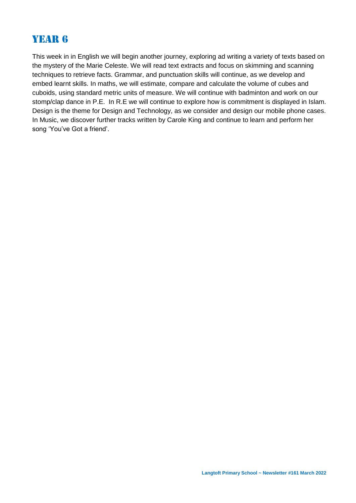## Year 6

This week in in English we will begin another journey, exploring ad writing a variety of texts based on the mystery of the Marie Celeste. We will read text extracts and focus on skimming and scanning techniques to retrieve facts. Grammar, and punctuation skills will continue, as we develop and embed learnt skills. In maths, we will estimate, compare and calculate the volume of cubes and cuboids, using standard metric units of measure. We will continue with badminton and work on our stomp/clap dance in P.E. In R.E we will continue to explore how is commitment is displayed in Islam. Design is the theme for Design and Technology, as we consider and design our mobile phone cases. In Music, we discover further tracks written by Carole King and continue to learn and perform her song 'You've Got a friend'.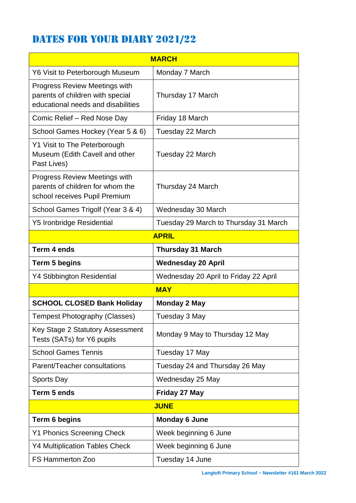# DATES FOR YOUR DIARY 2021/22

| <b>MARCH</b>                                                                                                   |                                       |  |  |  |
|----------------------------------------------------------------------------------------------------------------|---------------------------------------|--|--|--|
| Y6 Visit to Peterborough Museum                                                                                | Monday 7 March                        |  |  |  |
| <b>Progress Review Meetings with</b><br>parents of children with special<br>educational needs and disabilities | Thursday 17 March                     |  |  |  |
| Comic Relief - Red Nose Day                                                                                    | Friday 18 March                       |  |  |  |
| School Games Hockey (Year 5 & 6)                                                                               | Tuesday 22 March                      |  |  |  |
| Y1 Visit to The Peterborough<br>Museum (Edith Cavell and other<br>Past Lives)                                  | Tuesday 22 March                      |  |  |  |
| <b>Progress Review Meetings with</b><br>parents of children for whom the<br>school receives Pupil Premium      | Thursday 24 March                     |  |  |  |
| School Games Trigolf (Year 3 & 4)                                                                              | Wednesday 30 March                    |  |  |  |
| <b>Y5 Ironbridge Residential</b>                                                                               | Tuesday 29 March to Thursday 31 March |  |  |  |
| <b>APRIL</b>                                                                                                   |                                       |  |  |  |
| Term 4 ends                                                                                                    | <b>Thursday 31 March</b>              |  |  |  |
| Term 5 begins                                                                                                  | <b>Wednesday 20 April</b>             |  |  |  |
| <b>Y4 Stibbington Residential</b>                                                                              | Wednesday 20 April to Friday 22 April |  |  |  |
| <b>MAY</b>                                                                                                     |                                       |  |  |  |
| <b>SCHOOL CLOSED Bank Holiday</b>                                                                              | <b>Monday 2 May</b>                   |  |  |  |
| <b>Tempest Photography (Classes)</b>                                                                           | Tuesday 3 May                         |  |  |  |
| Key Stage 2 Statutory Assessment<br>Tests (SATs) for Y6 pupils                                                 | Monday 9 May to Thursday 12 May       |  |  |  |
| <b>School Games Tennis</b>                                                                                     | Tuesday 17 May                        |  |  |  |
| Parent/Teacher consultations                                                                                   | Tuesday 24 and Thursday 26 May        |  |  |  |
| <b>Sports Day</b>                                                                                              | Wednesday 25 May                      |  |  |  |
| Term 5 ends                                                                                                    | Friday 27 May                         |  |  |  |
| <b>JUNE</b>                                                                                                    |                                       |  |  |  |
| Term 6 begins                                                                                                  | <b>Monday 6 June</b>                  |  |  |  |
| <b>Y1 Phonics Screening Check</b>                                                                              | Week beginning 6 June                 |  |  |  |
| <b>Y4 Multiplication Tables Check</b>                                                                          | Week beginning 6 June                 |  |  |  |
| <b>FS Hammerton Zoo</b>                                                                                        | Tuesday 14 June                       |  |  |  |